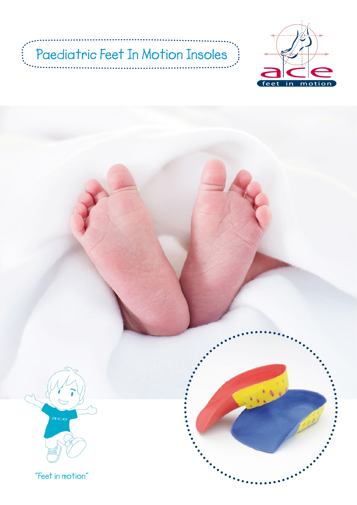# Paediatric Feet In Motion Insoles<sup>3</sup>

 $\ddot{\ddot{\theta}}$ 



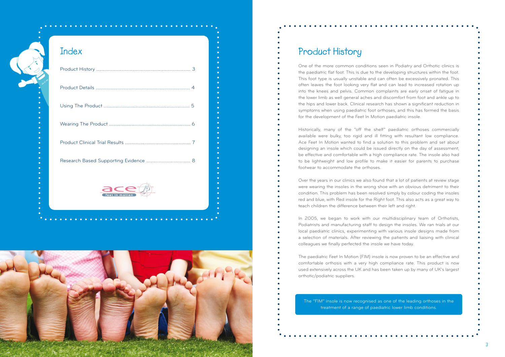

### **Index**

| feet in motior |  |
|----------------|--|

## **Product History**

One of the more common conditions seen in Podiatry and Orthotic clinics is the paediatric flat foot. This is due to the developing structures within the foot. This foot type is usually unstable and can often be excessively pronated. This often leaves the foot looking very flat and can lead to increased rotation up into the knees and pelvis. Common complaints are early onset of fatigue in the lower limb as well general aches and discomfort from foot and ankle up to the hips and lower back. Clinical research has shown a significant reduction in symptoms when using paediatric foot orthoses, and this has formed the basis for the development of the Feet In Motion paediatric insole.

Historically, many of the "off the shelf" paediatric orthoses commercially available were bulky, too rigid and ill fitting with resultant low compliance. Ace Feet In Motion wanted to find a solution to this problem and set about designing an insole which could be issued directly on the day of assessment, be effective and comfortable with a high compliance rate. The insole also had to be lightweight and low profile to make it easier for parents to purchase footwear to accommodate the orthoses.

Over the years in our clinics we also found that a lot of patients at review stage were wearing the insoles in the wrong shoe with an obvious detriment to their condition. This problem has been resolved simply by colour coding the insoles red and blue, with Red insole for the Right foot. This also acts as a great way to teach children the difference between their left and right.

In 2005, we began to work with our multidisciplinary team of Orthotists, Podiatrists and manufacturing staff to design the insoles. We ran trials at our local paediatric clinics, experimenting with various insole designs made from a selection of materials. After reviewing the patients and liaising with clinical colleagues we finally perfected the insole we have today.

The paediatric Feet In Motion (FIM) insole is now proven to be an effective and comfortable orthosis with a very high compliance rate. This product is now used extensively across the UK and has been taken up by many of UK's largest orthotic/podiatric suppliers.

The "FIM" insole is now recognised as one of the leading orthoses in the treatment of a range of paediatric lower limb conditions.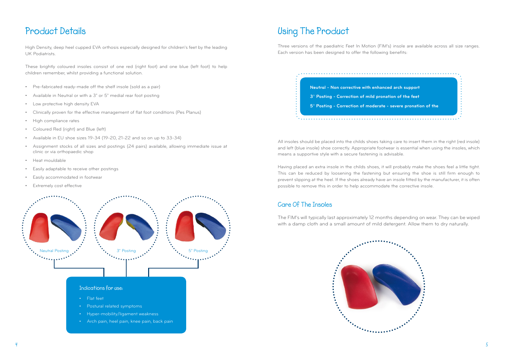

Three versions of the paediatric Feet In Motion (FIM's) insole are available across all size ranges. Each version has been designed to offer the following benefits:

All insoles should be placed into the childs shoes taking care to insert them in the right (red insole) and left (blue insole) shoe correctly. Appropriate footwear is essential when using the insoles, which means a supportive style with a secure fastening is advisable.

Having placed an extra insole in the childs shoes, it will probably make the shoes feel a little tight. This can be reduced by loosening the fastening but ensuring the shoe is still firm enough to prevent slipping at the heel. If the shoes already have an insole fitted by the manufacturer, it is often possible to remove this in order to help accommodate the corrective insole.

- Pre-fabricated ready-made off the shelf insole (sold as a pair)
- Available in Neutral or with a 3° or 5° medial rear foot posting
- Low protective high density EVA
- Clinically proven for the effective management of flat foot conditions (Pes Planus)
- High compliance rates
- Coloured Red (right) and Blue (left)
- Available in EU shoe sizes 19-34 (19-20, 21-22 and so on up to 33-34)
- Assignment stocks of all sizes and postings (24 pairs) available, allowing immediate issue at clinic or via orthopaedic shop
- Heat mouldable
- Easily adaptable to receive other postings
- Easily accommodated in footwear
- **Extremely cost effective**

### **Care Of The Insoles**

The FIM's will typically last approximately 12 months depending on wear. They can be wiped with a damp cloth and a small amount of mild detergent. Allow them to dry naturally.



## **Product Details Using The Product**

High Density, deep heel cupped EVA orthosis especially designed for children's feet by the leading UK Podiatrists.

These brightly coloured insoles consist of one red (right foot) and one blue (left foot) to help children remember, whilst providing a functional solution.



- Hyper-mobility/ligament weakness
- Arch pain, heel pain, knee pain, back pain

**Neutral - Non corrective with enhanced arch support 3**° **Posting - Correction of mild pronation of the feet 5**° **Posting - Correction of moderate - severe pronation of the**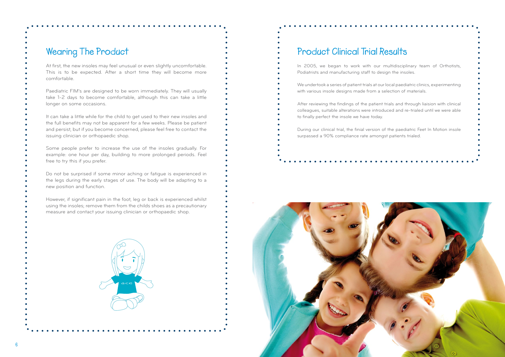

### **Wearing The Product**

At first, the new insoles may feel unusual or even slightly uncomfortable. This is to be expected. After a short time they will become more comfortable.

Paediatric FIM's are designed to be worn immediately. They will usually take 1-2 days to become comfortable, although this can take a little longer on some occasions.

It can take a little while for the child to get used to their new insoles and the full benefits may not be apparent for a few weeks. Please be patient and persist, but if you become concerned, please feel free to contact the issuing clinician or orthopaedic shop.

Some people prefer to increase the use of the insoles gradually. For example: one hour per day, building to more prolonged periods. Feel free to try this if you prefer.

Do not be surprised if some minor aching or fatigue is experienced in the legs during the early stages of use. The body will be adapting to a new position and function.

However, if significant pain in the foot, leg or back is experienced whilst using the insoles; remove them from the childs shoes as a precautionary measure and contact your issuing clinician or orthopaedic shop.



## **Product Clinical Trial Results**

In 2005, we began to work with our multidisciplinary team of Orthotists, Podiatrists and manufacturing staff to design the insoles.

We undertook a series of patient trials at our local paediatric clinics, experimenting with various insole designs made from a selection of materials.

After reviewing the findings of the patient trials and through liaision with clinical colleagues, suitable alterations were introduced and re-trialed until we were able to finally perfect the insole we have today.

During our clinical trial, the finial version of the paediatric Feet In Motion insole surpassed a 90% compliance rate amongst patients trialed.